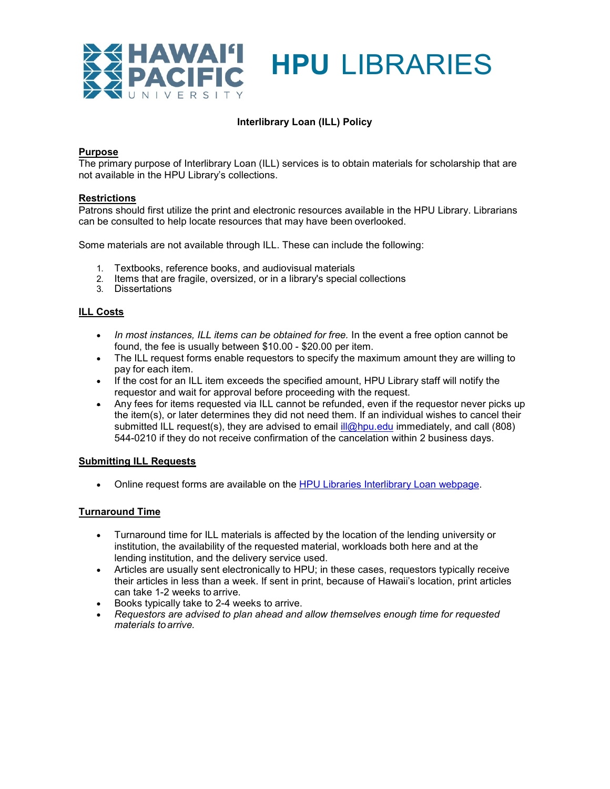

# **Interlibrary Loan (ILL) Policy**

### **Purpose**

The primary purpose of Interlibrary Loan (ILL) services is to obtain materials for scholarship that are not available in the HPU Library's collections.

### **Restrictions**

Patrons should first utilize the print and electronic resources available in the HPU Library. Librarians can be consulted to help locate resources that may have been overlooked.

Some materials are not available through ILL. These can include the following:

- 1. Textbooks, reference books, and audiovisual materials
- Items that are fragile, oversized, or in a library's special collections
- 3. Dissertations

# **ILL Costs**

- *In most instances, ILL items can be obtained for free.* In the event a free option cannot be found, the fee is usually between \$10.00 - \$20.00 per item.
- The ILL request forms enable requestors to specify the maximum amount they are willing to pay for each item.
- If the cost for an ILL item exceeds the specified amount, HPU Library staff will notify the requestor and wait for approval before proceeding with the request.
- Any fees for items requested via ILL cannot be refunded, even if the requestor never picks up the item(s), or later determines they did not need them. If an individual wishes to cancel their submitted ILL request(s), they are advised to email *ill@hpu.edu* immediately, and call (808) 544-0210 if they do not receive confirmation of the cancelation within 2 business days.

### **Submitting ILL Requests**

• Online request forms are available on the HPU Libraries [Interlibrary Loan](https://www.hpu.edu/libraries/services/ill.html) webpage.

### **Turnaround Time**

- Turnaround time for ILL materials is affected by the location of the lending university or institution, the availability of the requested material, workloads both here and at the lending institution, and the delivery service used.
- Articles are usually sent electronically to HPU; in these cases, requestors typically receive their articles in less than a week. If sent in print, because of Hawaii's location, print articles can take 1-2 weeks to arrive.
- Books typically take to 2-4 weeks to arrive.
- *Requestors are advised to plan ahead and allow themselves enough time for requested materials toarrive.*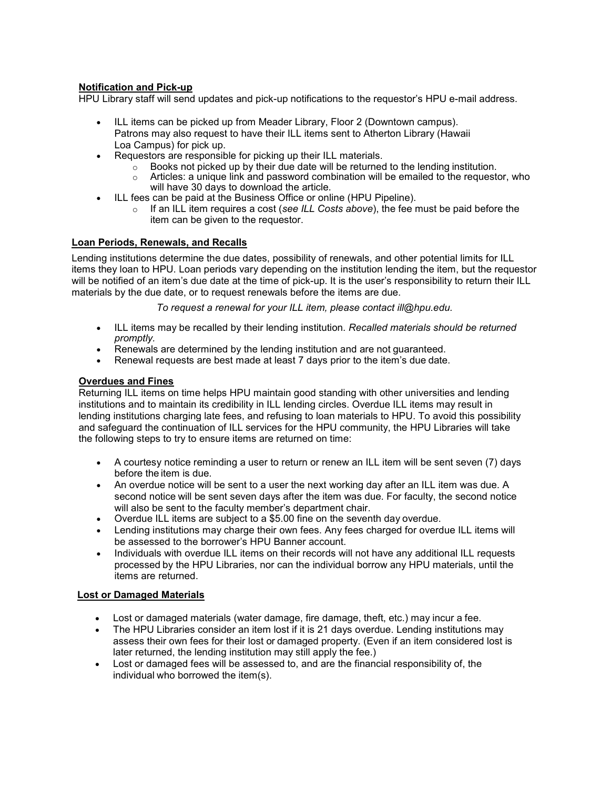# **Notification and Pick-up**

HPU Library staff will send updates and pick-up notifications to the requestor's HPU e-mail address.

- ILL items can be picked up from Meader Library, Floor 2 (Downtown campus). Patrons may also request to have their ILL items sent to Atherton Library (Hawaii Loa Campus) for pick up.
	- Requestors are responsible for picking up their ILL materials.
		- Books not picked up by their due date will be returned to the lending institution.<br>○ Articles: a unique link and password combination will be emailed to the request
		- Articles: a unique link and password combination will be emailed to the requestor, who will have 30 days to download the article.
- ILL fees can be paid at the Business Office or online (HPU Pipeline).
	- o If an ILL item requires a cost (*see ILL Costs above*), the fee must be paid before the item can be given to the requestor.

## **Loan Periods, Renewals, and Recalls**

Lending institutions determine the due dates, possibility of renewals, and other potential limits for ILL items they loan to HPU. Loan periods vary depending on the institution lending the item, but the requestor will be notified of an item's due date at the time of pick-up. It is the user's responsibility to return their ILL materials by the due date, or to request renewals before the items are due.

*[To request a renewal for your ILL item, please contact ill@hpu.edu.](mailto:TorequestarenewalforyourILLitem%2Cpleasecontactill@hpu.edu)*

- ILL items may be recalled by their lending institution. *Recalled materials should be returned promptly.*
- Renewals are determined by the lending institution and are not guaranteed.
- Renewal requests are best made at least 7 days prior to the item's due date.

## **Overdues and Fines**

Returning ILL items on time helps HPU maintain good standing with other universities and lending institutions and to maintain its credibility in ILL lending circles. Overdue ILL items may result in lending institutions charging late fees, and refusing to loan materials to HPU. To avoid this possibility and safeguard the continuation of ILL services for the HPU community, the HPU Libraries will take the following steps to try to ensure items are returned on time:

- A courtesy notice reminding a user to return or renew an ILL item will be sent seven (7) days before the item is due.
- An overdue notice will be sent to a user the next working day after an ILL item was due. A second notice will be sent seven days after the item was due. For faculty, the second notice will also be sent to the faculty member's department chair.
- Overdue ILL items are subject to a \$5.00 fine on the seventh day overdue.
- Lending institutions may charge their own fees. Any fees charged for overdue ILL items will be assessed to the borrower's HPU Banner account.
- Individuals with overdue ILL items on their records will not have any additional ILL requests processed by the HPU Libraries, nor can the individual borrow any HPU materials, until the items are returned.

# **Lost or Damaged Materials**

- Lost or damaged materials (water damage, fire damage, theft, etc.) may incur a fee.
- The HPU Libraries consider an item lost if it is 21 days overdue. Lending institutions may assess their own fees for their lost or damaged property. (Even if an item considered lost is later returned, the lending institution may still apply the fee.)
- Lost or damaged fees will be assessed to, and are the financial responsibility of, the individual who borrowed the item(s).